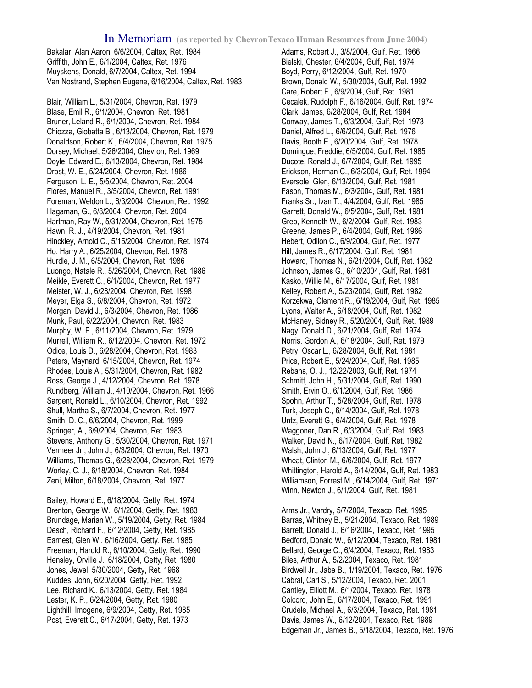## In Memoriam **(as reported by ChevronTexaco Human Resources from June 2004)**

Bakalar, Alan Aaron, 6/6/2004, Caltex, Ret. 1984 Griffith, John E., 6/1/2004, Caltex, Ret. 1976 Muyskens, Donald, 6/7/2004, Caltex, Ret. 1994 Van Nostrand, Stephen Eugene, 6/16/2004, Caltex, Ret. 1983

Blair, William L., 5/31/2004, Chevron, Ret. 1979 Blase, Emil R., 6/1/2004, Chevron, Ret. 1981 Bruner, Leland R., 6/1/2004, Chevron, Ret. 1984 Chiozza, Giobatta B., 6/13/2004, Chevron, Ret. 1979 Donaldson, Robert K., 6/4/2004, Chevron, Ret. 1975 Dorsey, Michael, 5/26/2004, Chevron, Ret. 1969 Doyle, Edward E., 6/13/2004, Chevron, Ret. 1984 Drost, W. E., 5/24/2004, Chevron, Ret. 1986 Ferguson, L. E., 5/5/2004, Chevron, Ret. 2004 Flores, Manuel R., 3/5/2004, Chevron, Ret. 1991 Foreman, Weldon L., 6/3/2004, Chevron, Ret. 1992 Hagaman, G., 6/8/2004, Chevron, Ret. 2004 Hartman, Ray W., 5/31/2004, Chevron, Ret. 1975 Hawn, R. J., 4/19/2004, Chevron, Ret. 1981 Hinckley, Arnold C., 5/15/2004, Chevron, Ret. 1974 Ho, Harry A., 6/25/2004, Chevron, Ret. 1978 Hurdle, J. M., 6/5/2004, Chevron, Ret. 1986 Luongo, Natale R., 5/26/2004, Chevron, Ret. 1986 Meikle, Everett C., 6/1/2004, Chevron, Ret. 1977 Meister, W. J., 6/28/2004, Chevron, Ret. 1998 Meyer, Elga S., 6/8/2004, Chevron, Ret. 1972 Morgan, David J., 6/3/2004, Chevron, Ret. 1986 Munk, Paul, 6/22/2004, Chevron, Ret. 1983 Murphy, W. F., 6/11/2004, Chevron, Ret. 1979 Murrell, William R., 6/12/2004, Chevron, Ret. 1972 Odice, Louis D., 6/28/2004, Chevron, Ret. 1983 Peters, Maynard, 6/15/2004, Chevron, Ret. 1974 Rhodes, Louis A., 5/31/2004, Chevron, Ret. 1982 Ross, George J., 4/12/2004, Chevron, Ret. 1978 Rundberg, William J., 4/10/2004, Chevron, Ret. 1966 Sargent, Ronald L., 6/10/2004, Chevron, Ret. 1992 Shull, Martha S., 6/7/2004, Chevron, Ret. 1977 Smith, D. C., 6/6/2004, Chevron, Ret. 1999 Springer, A., 6/9/2004, Chevron, Ret. 1983 Stevens, Anthony G., 5/30/2004, Chevron, Ret. 1971 Vermeer Jr., John J., 6/3/2004, Chevron, Ret. 1970 Williams, Thomas G., 6/28/2004, Chevron, Ret. 1979 Worley, C. J., 6/18/2004, Chevron, Ret. 1984 Zeni, Milton, 6/18/2004, Chevron, Ret. 1977

Bailey, Howard E., 6/18/2004, Getty, Ret. 1974 Brenton, George W., 6/1/2004, Getty, Ret. 1983 Brundage, Marian W., 5/19/2004, Getty, Ret. 1984 Desch, Richard F., 6/12/2004, Getty, Ret. 1985 Earnest, Glen W., 6/16/2004, Getty, Ret. 1985 Freeman, Harold R., 6/10/2004, Getty, Ret. 1990 Hensley, Orville J., 6/18/2004, Getty, Ret. 1980 Jones, Jewel, 5/30/2004, Getty, Ret. 1968 Kuddes, John, 6/20/2004, Getty, Ret. 1992 Lee, Richard K., 6/13/2004, Getty, Ret. 1984 Lester, K. P., 6/24/2004, Getty, Ret. 1980 Lighthill, Imogene, 6/9/2004, Getty, Ret. 1985 Post, Everett C., 6/17/2004, Getty, Ret. 1973

Adams, Robert J., 3/8/2004, Gulf, Ret. 1966 Bielski, Chester, 6/4/2004, Gulf, Ret. 1974 Boyd, Perry, 6/12/2004, Gulf, Ret. 1970 Brown, Donald W., 5/30/2004, Gulf, Ret. 1992 Care, Robert F., 6/9/2004, Gulf, Ret. 1981 Cecalek, Rudolph F., 6/16/2004, Gulf, Ret. 1974 Clark, James, 6/28/2004, Gulf, Ret. 1984 Conway, James T., 6/3/2004, Gulf, Ret. 1973 Daniel, Alfred L., 6/6/2004, Gulf, Ret. 1976 Davis, Booth E., 6/20/2004, Gulf, Ret. 1978 Domingue, Freddie, 6/5/2004, Gulf, Ret. 1985 Ducote, Ronald J., 6/7/2004, Gulf, Ret. 1995 Erickson, Herman C., 6/3/2004, Gulf, Ret. 1994 Eversole, Glen, 6/13/2004, Gulf, Ret. 1981 Fason, Thomas M., 6/3/2004, Gulf, Ret. 1981 Franks Sr., Ivan T., 4/4/2004, Gulf, Ret. 1985 Garrett, Donald W., 6/5/2004, Gulf, Ret. 1981 Greb, Kenneth W., 6/2/2004, Gulf, Ret. 1983 Greene, James P., 6/4/2004, Gulf, Ret. 1986 Hebert, Odilon C., 6/9/2004, Gulf, Ret. 1977 Hill, James R., 6/17/2004, Gulf, Ret. 1981 Howard, Thomas N., 6/21/2004, Gulf, Ret. 1982 Johnson, James G., 6/10/2004, Gulf, Ret. 1981 Kasko, Willie M., 6/17/2004, Gulf, Ret. 1981 Kelley, Robert A., 5/23/2004, Gulf, Ret. 1982 Korzekwa, Clement R., 6/19/2004, Gulf, Ret. 1985 Lyons, Walter A., 6/18/2004, Gulf, Ret. 1982 McHaney, Sidney R., 5/20/2004, Gulf, Ret. 1989 Nagy, Donald D., 6/21/2004, Gulf, Ret. 1974 Norris, Gordon A., 6/18/2004, Gulf, Ret. 1979 Petry, Oscar L., 6/28/2004, Gulf, Ret. 1981 Price, Robert E., 5/24/2004, Gulf, Ret. 1985 Rebans, O. J., 12/22/2003, Gulf, Ret. 1974 Schmitt, John H., 5/31/2004, Gulf, Ret. 1990 Smith, Ervin O., 6/1/2004, Gulf, Ret. 1986 Spohn, Arthur T., 5/28/2004, Gulf, Ret. 1978 Turk, Joseph C., 6/14/2004, Gulf, Ret. 1978 Untz, Everett G., 6/4/2004, Gulf, Ret. 1978 Waggoner, Dan R., 6/3/2004, Gulf, Ret. 1983 Walker, David N., 6/17/2004, Gulf, Ret. 1982 Walsh, John J., 6/13/2004, Gulf, Ret. 1977 Wheat, Clinton M., 6/6/2004, Gulf, Ret. 1977 Whittington, Harold A., 6/14/2004, Gulf, Ret. 1983 Williamson, Forrest M., 6/14/2004, Gulf, Ret. 1971 Winn, Newton J., 6/1/2004, Gulf, Ret. 1981

Arms Jr., Vardry, 5/7/2004, Texaco, Ret. 1995 Barras, Whitney B., 5/21/2004, Texaco, Ret. 1989 Barrett, Donald J., 6/16/2004, Texaco, Ret. 1995 Bedford, Donald W., 6/12/2004, Texaco, Ret. 1981 Bellard, George C., 6/4/2004, Texaco, Ret. 1983 Biles, Arthur A., 5/2/2004, Texaco, Ret. 1981 Birdwell Jr., Jabe B., 1/19/2004, Texaco, Ret. 1976 Cabral, Carl S., 5/12/2004, Texaco, Ret. 2001 Cantley, Elliott M., 6/1/2004, Texaco, Ret. 1978 Colcord, John E., 6/17/2004, Texaco, Ret. 1991 Crudele, Michael A., 6/3/2004, Texaco, Ret. 1981 Davis, James W., 6/12/2004, Texaco, Ret. 1989 Edgeman Jr., James B., 5/18/2004, Texaco, Ret. 1976